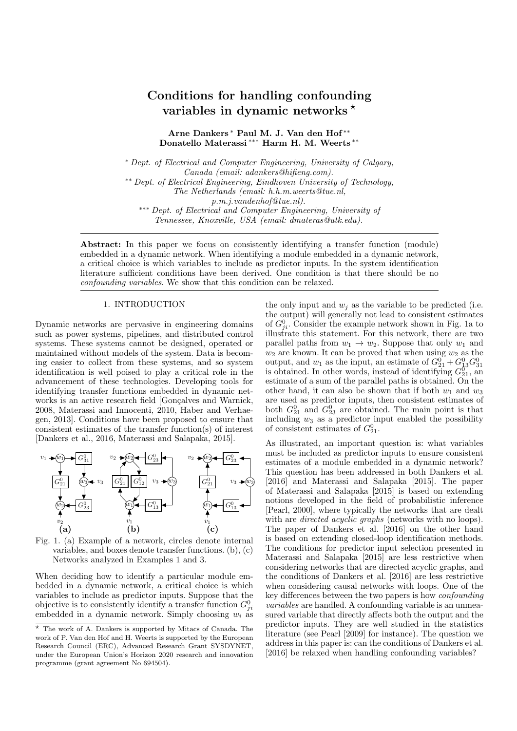# Conditions for handling confounding variables in dynamic networks  $\star$

Arne Dankers <sup>∗</sup> Paul M. J. Van den Hof ∗∗ Donatello Materassi ∗∗∗ Harm H. M. Weerts ∗∗

<sup>∗</sup> Dept. of Electrical and Computer Engineering, University of Calgary, Canada (email: adankers@hifieng.com). ∗∗ Dept. of Electrical Engineering, Eindhoven University of Technology, The Netherlands (email: h.h.m.weerts@tue.nl, p.m.j.vandenhof@tue.nl). ∗∗∗ Dept. of Electrical and Computer Engineering, University of Tennessee, Knoxville, USA (email: dmateras@utk.edu).

Abstract: In this paper we focus on consistently identifying a transfer function (module) embedded in a dynamic network. When identifying a module embedded in a dynamic network, a critical choice is which variables to include as predictor inputs. In the system identification literature sufficient conditions have been derived. One condition is that there should be no confounding variables. We show that this condition can be relaxed.

## 1. INTRODUCTION

Dynamic networks are pervasive in engineering domains such as power systems, pipelines, and distributed control systems. These systems cannot be designed, operated or maintained without models of the system. Data is becoming easier to collect from these systems, and so system identification is well poised to play a critical role in the advancement of these technologies. Developing tools for identifying transfer functions embedded in dynamic networks is an active research field [Gonçalves and Warnick, 2008, Materassi and Innocenti, 2010, Haber and Verhaegen, 2013]. Conditions have been proposed to ensure that consistent estimates of the transfer function(s) of interest [Dankers et al., 2016, Materassi and Salapaka, 2015].



Fig. 1. (a) Example of a network, circles denote internal variables, and boxes denote transfer functions. (b), (c) Networks analyzed in Examples 1 and 3.

When deciding how to identify a particular module embedded in a dynamic network, a critical choice is which variables to include as predictor inputs. Suppose that the objective is to consistently identify a transfer function  $G_{ji}^0$ embedded in a dynamic network. Simply choosing  $w_i$  as the only input and  $w_i$  as the variable to be predicted (i.e. the output) will generally not lead to consistent estimates of  $G_{ji}^0$ . Consider the example network shown in Fig. 1a to illustrate this statement. For this network, there are two parallel paths from  $w_1 \rightarrow w_2$ . Suppose that only  $w_1$  and  $w_2$  are known. It can be proved that when using  $w_2$  as the output, and  $w_1$  as the input, an estimate of  $G_{21}^0 + G_{13}^0 G_{31}^0$ <br>is obtained. In other words, instead of identifying  $G_{21}^0$ , an estimate of a sum of the parallel paths is obtained. On the other hand, it can also be shown that if both  $w_1$  and  $w_3$ are used as predictor inputs, then consistent estimates of both  $G_{21}^0$  and  $G_{23}^0$  are obtained. The main point is that including  $w_3$  as a predictor input enabled the possibility of consistent estimates of  $G_{21}^0$ .

As illustrated, an important question is: what variables must be included as predictor inputs to ensure consistent estimates of a module embedded in a dynamic network? This question has been addressed in both Dankers et al. [2016] and Materassi and Salapaka [2015]. The paper of Materassi and Salapaka [2015] is based on extending notions developed in the field of probabilistic inference [Pearl, 2000], where typically the networks that are dealt with are *directed acyclic graphs* (networks with no loops). The paper of Dankers et al. [2016] on the other hand is based on extending closed-loop identification methods. The conditions for predictor input selection presented in Materassi and Salapaka [2015] are less restrictive when considering networks that are directed acyclic graphs, and the conditions of Dankers et al. [2016] are less restrictive when considering causal networks with loops. One of the key differences between the two papers is how confounding variables are handled. A confounding variable is an unmeasured variable that directly affects both the output and the predictor inputs. They are well studied in the statistics literature (see Pearl [2009] for instance). The question we address in this paper is: can the conditions of Dankers et al. [2016] be relaxed when handling confounding variables?

 $\star$  The work of A. Dankers is supported by Mitacs of Canada. The work of P. Van den Hof and H. Weerts is supported by the European Research Council (ERC), Advanced Research Grant SYSDYNET, under the European Union's Horizon 2020 research and innovation programme (grant agreement No 694504).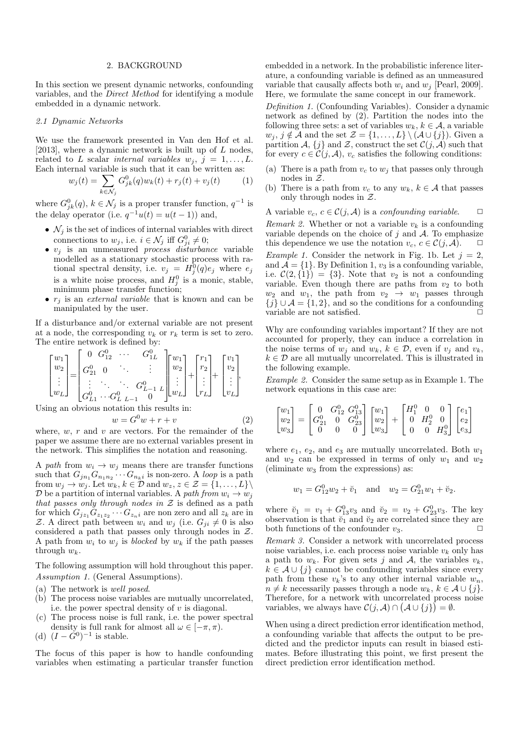#### 2. BACKGROUND

In this section we present dynamic networks, confounding variables, and the Direct Method for identifying a module embedded in a dynamic network.

## 2.1 Dynamic Networks

We use the framework presented in Van den Hof et al. [2013], where a dynamic network is built up of  $L$  nodes, related to L scalar internal variables  $w_j$ ,  $j = 1, \ldots, L$ . Each internal variable is such that it can be written as:

$$
w_j(t) = \sum_{k \in \mathcal{N}_j} G_{jk}^0(q) w_k(t) + r_j(t) + v_j(t)
$$
 (1)

where  $G_{jk}^0(q)$ ,  $k \in \mathcal{N}_j$  is a proper transfer function,  $q^{-1}$  is the delay operator (i.e.  $q^{-1}u(t) = u(t-1)$ ) and,

- $\mathcal{N}_i$  is the set of indices of internal variables with direct connections to  $w_j$ , i.e.  $i \in \mathcal{N}_j$  iff  $G_{ji}^0 \neq 0$ ;
- $\bullet$   $v_j$  is an unmeasured *process disturbance* variable modelled as a stationary stochastic process with rational spectral density, i.e.  $v_j = H_j^0(q)e_j$  where  $e_j$ is a white noise process, and  $H_j^0$  is a monic, stable, minimum phase transfer function;
- $r_i$  is an *external variable* that is known and can be manipulated by the user.

If a disturbance and/or external variable are not present at a node, the corresponding  $v_k$  or  $r_k$  term is set to zero. The entire network is defined by:

$$
\begin{bmatrix} w_1 \\ w_2 \\ \vdots \\ w_L \end{bmatrix} = \begin{bmatrix} 0 & G_{12}^0 & \cdots & G_{1L}^0 \\ G_{21}^0 & 0 & \ddots & \vdots \\ \vdots & \ddots & \ddots & G_{L-1}^0 & L \\ G_{L1}^0 & \cdots & G_{L}^0 & L-1 & 0 \end{bmatrix} \begin{bmatrix} w_1 \\ w_2 \\ \vdots \\ w_L \end{bmatrix} + \begin{bmatrix} r_1 \\ r_2 \\ \vdots \\ r_L \end{bmatrix} + \begin{bmatrix} v_1 \\ v_2 \\ \vdots \\ v_L \end{bmatrix},
$$

Using an obvious notation this results in:

$$
w = G^0 w + r + v \tag{2}
$$

where,  $w, r$  and  $v$  are vectors. For the remainder of the paper we assume there are no external variables present in the network. This simplifies the notation and reasoning.

A path from  $w_i \rightarrow w_j$  means there are transfer functions such that  $G_{j n_1} G_{n_1 n_2} \cdots G_{n_k i}$  is non-zero. A loop is a path from  $w_j \to w_j$ . Let  $w_k, k \in \mathcal{D}$  and  $w_z, z \in \mathcal{Z} = \{1, \ldots, L\}\$ D be a partition of internal variables. A path from  $w_i \rightarrow w_j$ that passes only through nodes in  $\mathcal Z$  is defined as a path for which  $G_{jz_1}G_{z_1z_2}\cdots G_{z_n}$  are non zero and all  $z_k$  are in Z. A direct path between  $w_i$  and  $w_j$  (i.e.  $G_{ji} \neq 0$  is also considered a path that passes only through nodes in Z. A path from  $w_i$  to  $w_j$  is blocked by  $w_k$  if the path passes through  $w_k$ .

The following assumption will hold throughout this paper. Assumption 1. (General Assumptions).

- (a) The network is well posed.
- (b) The process noise variables are mutually uncorrelated, i.e. the power spectral density of  $v$  is diagonal.
- (c) The process noise is full rank, i.e. the power spectral density is full rank for almost all  $\omega \in [-\pi, \pi)$ .
- (d)  $(I \tilde{G}^0)^{-1}$  is stable.

The focus of this paper is how to handle confounding variables when estimating a particular transfer function embedded in a network. In the probabilistic inference literature, a confounding variable is defined as an unmeasured variable that causally affects both  $w_i$  and  $w_j$  [Pearl, 2009]. Here, we formulate the same concept in our framework.

Definition 1. (Confounding Variables). Consider a dynamic network as defined by (2). Partition the nodes into the following three sets: a set of variables  $w_k, k \in \mathcal{A}$ , a variable  $w_j, j \notin \mathcal{A}$  and the set  $\mathcal{Z} = \{1, \ldots, L\} \setminus (\mathcal{A} \cup \{j\})$ . Given a partition A,  $\{j\}$  and Z, construct the set  $\mathcal{C}(j, \mathcal{A})$  such that for every  $c \in \mathcal{C}(j, \mathcal{A})$ ,  $v_c$  satisfies the following conditions:

- (a) There is a path from  $v_c$  to  $w_j$  that passes only through nodes in Z.
- (b) There is a path from  $v_c$  to any  $w_k$ ,  $k \in \mathcal{A}$  that passes only through nodes in  $Z$ .

A variable  $v_c, c \in \mathcal{C}(j, \mathcal{A})$  is a *confounding variable*.

Remark 2. Whether or not a variable  $v_k$  is a confounding variable depends on the choice of  $j$  and  $A$ . To emphasize this dependence we use the notation  $v_c, c \in \mathcal{C}(j, \mathcal{A})$ .  $\Box$ *Example 1.* Consider the network in Fig. 1b. Let  $j = 2$ , and  $\mathcal{A} = \{1\}$ . By Definition 1,  $v_3$  is a confounding variable, i.e.  $\mathcal{C}(2,\{1\}) = \{3\}$ . Note that  $v_2$  is not a confounding variable. Even though there are paths from  $v_2$  to both  $w_2$  and  $w_1$ , the path from  $v_2 \rightarrow w_1$  passes through  ${j} \cup A = \{1, 2\}$ , and so the conditions for a confounding variable are not satisfied.

Why are confounding variables important? If they are not accounted for properly, they can induce a correlation in the noise terms of  $w_j$  and  $w_k$ ,  $k \in \mathcal{D}$ , even if  $v_j$  and  $v_k$ ,  $k \in \mathcal{D}$  are all mutually uncorrelated. This is illustrated in the following example.

Example 2. Consider the same setup as in Example 1. The network equations in this case are:

$$
\begin{bmatrix} w_1 \\ w_2 \\ w_3 \end{bmatrix} = \begin{bmatrix} 0 & G_{12}^0 & G_{13}^0 \\ G_{21}^0 & 0 & G_{23}^0 \\ 0 & 0 & 0 \end{bmatrix} \begin{bmatrix} w_1 \\ w_2 \\ w_3 \end{bmatrix} + \begin{bmatrix} H_1^0 & 0 & 0 \\ 0 & H_2^0 & 0 \\ 0 & 0 & H_3^0 \end{bmatrix} \begin{bmatrix} e_1 \\ e_2 \\ e_3 \end{bmatrix}
$$

where  $e_1, e_2$ , and  $e_3$  are mutually uncorrelated. Both  $w_1$ and  $w_2$  can be expressed in terms of only  $w_1$  and  $w_2$ (eliminate  $w_3$  from the expressions) as:

$$
w_1 = G_{12}^0 w_2 + \breve{v}_1
$$
 and  $w_2 = G_{21}^0 w_1 + \breve{v}_2$ .

where  $\check{v}_1 = v_1 + G_{13}^0 v_3$  and  $\check{v}_2 = v_2 + G_{23}^0 v_3$ . The key observation is that  $\check{v}_1$  and  $\check{v}_2$  are correlated since they are both functions of the confounder  $v_3$ .

Remark 3. Consider a network with uncorrelated process noise variables, i.e. each process noise variable  $v_k$  only has a path to  $w_k$ . For given sets j and A, the variables  $v_k$ ,  $k \in \mathcal{A} \cup \{j\}$  cannot be confounding variables since every path from these  $v_k$ 's to any other internal variable  $w_n$ ,  $n \neq k$  necessarily passes through a node  $w_k, k \in \mathcal{A} \cup \{j\}.$ Therefore, for a network with uncorrelated process noise variables, we always have  $\mathcal{C}(j,\mathcal{A}) \cap (\mathcal{A} \cup \{j\}) = \emptyset$ .

When using a direct prediction error identification method, a confounding variable that affects the output to be predicted and the predictor inputs can result in biased estimates. Before illustrating this point, we first present the direct prediction error identification method.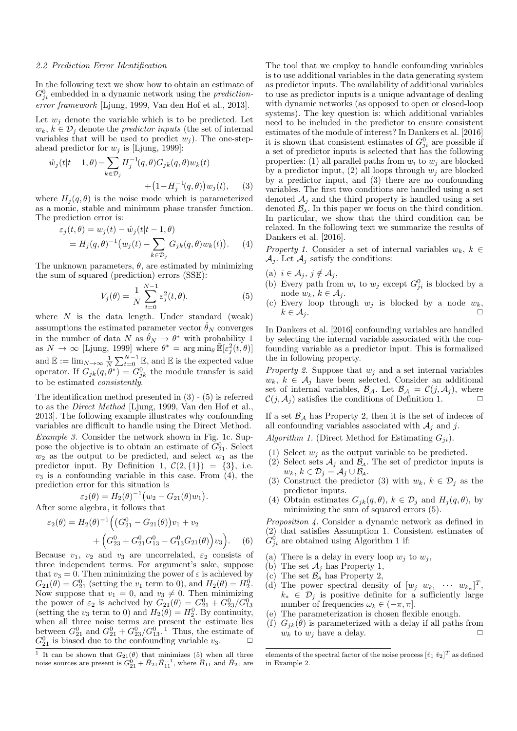## 2.2 Prediction Error Identification

In the following text we show how to obtain an estimate of  $G_{ji}^0$  embedded in a dynamic network using the *prediction*error framework [Ljung, 1999, Van den Hof et al., 2013].

Let  $w_i$  denote the variable which is to be predicted. Let  $w_k, k \in \mathcal{D}_i$  denote the *predictor inputs* (the set of internal variables that will be used to predict  $w_i$ ). The one-stepahead predictor for  $w_i$  is [Ljung, 1999]:

$$
\hat{w}_j(t|t-1,\theta) = \sum_{k \in \mathcal{D}_j} H_j^{-1}(q,\theta) G_{jk}(q,\theta) w_k(t) + (1 - H_j^{-1}(q,\theta)) w_j(t), \quad (3)
$$

where  $H_j(q, \theta)$  is the noise mode which is parameterized as a monic, stable and minimum phase transfer function. The prediction error is:

$$
\varepsilon_j(t,\theta) = w_j(t) - \hat{w}_j(t|t-1,\theta)
$$
  
=  $H_j(q,\theta)^{-1}(w_j(t) - \sum_{k \in \mathcal{D}_j} G_{jk}(q,\theta)w_k(t)).$  (4)

The unknown parameters,  $\theta$ , are estimated by minimizing the sum of squared (prediction) errors (SSE):

$$
V_j(\theta) = \frac{1}{N} \sum_{t=0}^{N-1} \varepsilon_j^2(t, \theta).
$$
 (5)

where  $N$  is the data length. Under standard (weak) assumptions the estimated parameter vector  $\hat{\theta}_N$  converges in the number of data N as  $\hat{\theta}_N \to \theta^*$  with probability 1 as  $N \to \infty$  [Ljung, 1999] where  $\theta^* = \arg \min_{\theta} \bar{\mathbb{E}}[\varepsilon_j^2(t, \theta)]$ and  $\bar{\mathbb{E}} := \lim_{N \to \infty} \frac{1}{N} \sum_{t=0}^{N-1} \mathbb{E}$ , and  $\mathbb{E}$  is the expected value operator. If  $G_{jk}(q, \theta^*) = G_{jk}^0$  the module transfer is said to be estimated consistently.

The identification method presented in (3) - (5) is referred to as the Direct Method [Ljung, 1999, Van den Hof et al., 2013]. The following example illustrates why confounding variables are difficult to handle using the Direct Method. Example 3. Consider the network shown in Fig. 1c. Suppose the objective is to obtain an estimate of  $G_{21}^0$ . Select  $w_2$  as the output to be predicted, and select  $w_1$  as the predictor input. By Definition 1,  $\mathcal{C}(2,\{1\}) = \{3\}$ , i.e.  $v_3$  is a confounding variable in this case. From (4), the prediction error for this situation is

$$
\varepsilon_2(\theta) = H_2(\theta)^{-1} \big( w_2 - G_{21}(\theta) w_1 \big).
$$

After some algebra, it follows that

$$
\varepsilon_2(\theta) = H_2(\theta)^{-1} \Big( \big( G_{21}^0 - G_{21}(\theta) \big) v_1 + v_2 + \Big( G_{23}^0 + G_{21}^0 G_{13}^0 - G_{13}^0 G_{21}(\theta) \Big) v_3 \Big). \tag{6}
$$

Because  $v_1$ ,  $v_2$  and  $v_3$  are uncorrelated,  $\varepsilon_2$  consists of three independent terms. For argument's sake, suppose that  $v_3 = 0$ . Then minimizing the power of  $\varepsilon$  is achieved by  $G_{21}(\theta) = G_{21}^0$  (setting the  $v_1$  term to 0), and  $H_2(\theta) = H_2^0$ . Now suppose that  $v_1 = 0$ , and  $v_3 \neq 0$ . Then minimizing the power of  $\varepsilon_2$  is acheived by  $G_{21}(\theta) = G_{21}^0 + G_{23}^0 / G_{13}^0$ <br>(setting the  $v_3$  term to 0) and  $H_2(\theta) = H_2^0$ . By continuity, when all three noise terms are present the estimate lies between  $G_{21}^0$  and  $G_{21}^0 + G_{23}^0 / G_{13}^0$ .<sup>1</sup> Thus, the estimate of  $G_{21}^0$  is biased due to the confounding variable  $v_3$ .  $\Box$ 

The tool that we employ to handle confounding variables is to use additional variables in the data generating system as predictor inputs. The availability of additional variables to use as predictor inputs is a unique advantage of dealing with dynamic networks (as opposed to open or closed-loop systems). The key question is: which additional variables need to be included in the predictor to ensure consistent estimates of the module of interest? In Dankers et al. [2016] it is shown that consistent estimates of  $G_{ji}^0$  are possible if a set of predictor inputs is selected that has the following properties: (1) all parallel paths from  $w_i$  to  $w_j$  are blocked by a predictor input, (2) all loops through  $w_j$  are blocked by a predictor input, and (3) there are no confounding variables. The first two conditions are handled using a set denoted  $A_j$  and the third property is handled using a set denoted  $\mathcal{B}_A$ . In this paper we focus on the third condition. In particular, we show that the third condition can be relaxed. In the following text we summarize the results of Dankers et al. [2016].

Property 1. Consider a set of internal variables  $w_k, k \in$  $\mathcal{A}_i$ . Let  $\mathcal{A}_i$  satisfy the conditions:

- (a)  $i \in \mathcal{A}_j, j \notin \mathcal{A}_j$ ,
- (b) Every path from  $w_i$  to  $w_j$  except  $G_{ji}^0$  is blocked by a node  $w_k, k \in A_i$ .
- (c) Every loop through  $w_j$  is blocked by a node  $w_k$ ,  $k \in \mathcal{A}_j$ .

In Dankers et al. [2016] confounding variables are handled by selecting the internal variable associated with the confounding variable as a predictor input. This is formalized the in following property.

*Property 2.* Suppose that  $w_j$  and a set internal variables  $w_k, k \in \mathcal{A}_j$  have been selected. Consider an additional set of internal variables,  $\mathcal{B}_{\mathcal{A}}$ . Let  $\mathcal{B}_{\mathcal{A}} = \mathcal{C}(j, \mathcal{A}_j)$ , where  $\mathcal{C}(j, \mathcal{A}_j)$  satisfies the conditions of Definition 1.

If a set  $\mathcal{B}_{\mathcal{A}}$  has Property 2, then it is the set of indeces of all confounding variables associated with  $A_i$  and j.

Algorithm 1. (Direct Method for Estimating  $G_{ii}$ ).

- (1) Select  $w_i$  as the output variable to be predicted.
- (2) Select sets  $\mathcal{A}_j$  and  $\mathcal{B}_4$ . The set of predictor inputs is  $w_k, k \in \mathcal{D}_j = \mathcal{A}_j \cup \mathcal{B}_\mathcal{A}.$
- (3) Construct the predictor (3) with  $w_k, k \in \mathcal{D}_j$  as the predictor inputs.
- (4) Obtain estimates  $G_{jk}(q, \theta)$ ,  $k \in \mathcal{D}_j$  and  $H_j(q, \theta)$ , by minimizing the sum of squared errors (5).

Proposition 4. Consider a dynamic network as defined in (2) that satisfies Assumption 1. Consistent estimates of  $G_{ji}^0$  are obtained using Algorithm 1 if:

- (a) There is a delay in every loop  $w_j$  to  $w_j$ ,
- (b) The set  $\mathcal{A}_i$  has Property 1,
- (c) The set  $\mathcal{B}_{\mathcal{A}}$  has Property 2,
- (d) The power spectral density of  $[w_j \ w_{k_1} \ \cdots \ w_{k_n}]^T$ ,  $k_* \in \mathcal{D}_i$  is positive definite for a sufficiently large number of frequencies  $\omega_k \in (-\pi, \pi]$ .
- (e) The parameterization is chosen flexible enough.
- (f)  $G_{jk}(\theta)$  is parameterized with a delay if all paths from  $w_k$  to  $w_j$  have a delay.

<sup>&</sup>lt;sup>1</sup> It can be shown that  $G_{21}(\theta)$  that minimizes (5) when all three noise sources are present is  $G_{21}^{0}$  +  $\check{H}_{21}\check{H}_{11}^{-1}$ , where  $\check{H}_{11}$  and  $\check{H}_{21}$  are

elements of the spectral factor of the noise process  $[\check{v}_1 \; \check{v}_2]^T$  as defined in Example 2.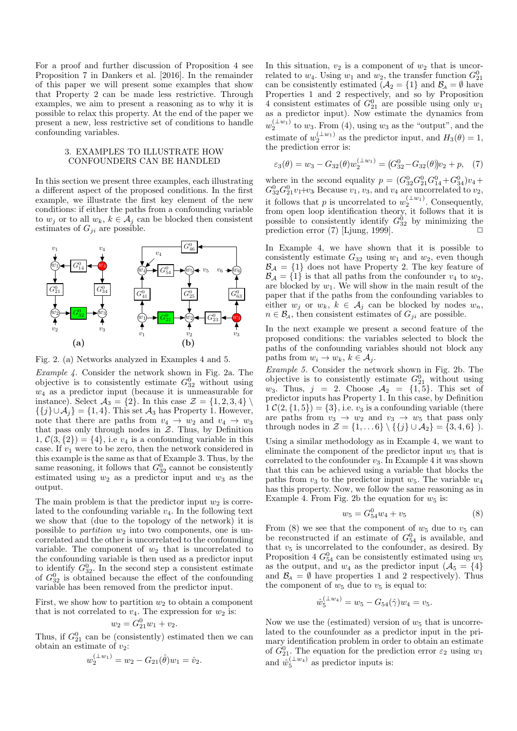For a proof and further discussion of Proposition 4 see Proposition 7 in Dankers et al. [2016]. In the remainder of this paper we will present some examples that show that Property 2 can be made less restrictive. Through examples, we aim to present a reasoning as to why it is possible to relax this property. At the end of the paper we present a new, less restrictive set of conditions to handle confounding variables.

# 3. EXAMPLES TO ILLUSTRATE HOW CONFOUNDERS CAN BE HANDLED

In this section we present three examples, each illustrating a different aspect of the proposed conditions. In the first example, we illustrate the first key element of the new conditions: if either the paths from a confounding variable to  $w_j$  or to all  $w_k$ ,  $k \in \mathcal{A}_j$  can be blocked then consistent estimates of  $G_{ji}$  are possible.



Fig. 2. (a) Networks analyzed in Examples 4 and 5.

Example 4. Consider the network shown in Fig. 2a. The objective is to consistently estimate  $G_{32}^0$  without using  $w_4$  as a predictor input (because it is unmeasurable for instance). Select  $\mathcal{A}_3 = \{2\}$ . In this case  $\mathcal{Z} = \{1, 2, 3, 4\} \setminus \mathcal{A}_3$  $\{\{j\}\cup\mathcal{A}_j\} = \{1,4\}.$  This set  $\mathcal{A}_3$  has Property 1. However, note that there are paths from  $v_4 \rightarrow w_2$  and  $v_4 \rightarrow w_3$ that pass only through nodes in  $Z$ . Thus, by Definition  $1, \mathcal{C}(3, \{2\}) = \{4\},$  i.e  $v_4$  is a confounding variable in this case. If  $v_1$  were to be zero, then the network considered in this example is the same as that of Example 3. Thus, by the same reasoning, it follows that  $G_{32}^0$  cannot be consistently estimated using  $w_2$  as a predictor input and  $w_3$  as the output.

The main problem is that the predictor input  $w_2$  is correlated to the confounding variable  $v_4$ . In the following text we show that (due to the topology of the network) it is possible to *partition*  $w_2$  into two components, one is uncorrelated and the other is uncorrelated to the confounding variable. The component of  $w_2$  that is uncorrelated to the confounding variable is then used as a predictor input to identify  $G_{32}^0$ . In the second step a consistent estimate of  $G_{32}^0$  is obtained because the effect of the confounding variable has been removed from the predictor input.

First, we show how to partition  $w_2$  to obtain a component that is not correlated to  $v_4$ . The expression for  $w_2$  is:

$$
w_2 = G_{21}^0 w_1 + v_2.
$$

Thus, if  $G_{21}^0$  can be (consistently) estimated then we can obtain an estimate of  $v_2$ :

$$
w_2^{(\perp w_1)} = w_2 - G_{21}(\hat{\theta})w_1 = \hat{v}_2.
$$

In this situation,  $v_2$  is a component of  $w_2$  that is uncorrelated to  $w_4$ . Using  $w_1$  and  $w_2$ , the transfer function  $G_{21}^0$ can be consistently estimated  $(\mathcal{A}_2 = \{1\})$  and  $\mathcal{B}_\mathcal{A} = \emptyset$  have Properties 1 and 2 respectively, and so by Proposition 4 consistent estimates of  $G_{21}^0$  are possible using only  $w_1$ as a predictor input). Now estimate the dynamics from  $w_2^{(\perp w_1)}$  to  $w_3$ . From (4), using  $w_3$  as the "output", and the estimate of  $w_2^{(\perp w_1)}$  as the predictor input, and  $H_3(\theta) = 1$ , the prediction error is:

$$
\varepsilon_3(\theta) = w_3 - G_{32}(\theta) w_2^{(\perp w_1)} = (G_{32}^0 - G_{32}(\theta))v_2 + p, \quad (7)
$$

where in the second equality  $p = (G_{32}^0 G_{21}^0 G_{14}^0 + G_{34}^0)v_4 +$  $G_{32}^0 G_{21}^0 v_1 + v_3$ . Because  $v_1, v_3$ , and  $v_4$  are uncorrelated to  $v_2$ , it follows that p is uncorrelated to  $w_2^{(\perp w_1)}$ . Consequently, from open loop identification theory, it follows that it is possible to consistently identify  $G_{32}^0$  by minimizing the prediction error  $(7)$  [Ljung, 1999].

In Example 4, we have shown that it is possible to consistently estimate  $G_{32}$  using  $w_1$  and  $w_2$ , even though  $\mathcal{B}_\mathcal{A} = \{1\}$  does not have Property 2. The key feature of  $\mathcal{B}_{\mathcal{A}} = \{1\}$  is that all paths from the confounder  $v_4$  to  $w_2$ , are blocked by  $w_1$ . We will show in the main result of the paper that if the paths from the confounding variables to either  $w_j$  or  $w_k$ ,  $k \in A_j$  can be blocked by nodes  $w_n$ ,  $n \in \mathcal{B}_A$ , then consistent estimates of  $G_{ji}$  are possible.

In the next example we present a second feature of the proposed conditions: the variables selected to block the paths of the confounding variables should not block any paths from  $w_i \to w_k, k \in \mathcal{A}_i$ .

Example 5. Consider the network shown in Fig. 2b. The objective is to consistently estimate  $G_{21}^0$  without using  $w_3$ . Thus,  $j = 2$ . Choose  $\mathcal{A}_2 = \{1, 5\}$ . This set of predictor inputs has Property 1. In this case, by Definition  $1 \mathcal{C}(2,\{1,5\}) = \{3\},\$ i.e.  $v_3$  is a confounding variable (there are paths from  $v_3 \rightarrow w_2$  and  $v_3 \rightarrow w_5$  that pass only through nodes in  $Z = \{1, ..., 6\} \setminus \{\{j\} \cup A_2\} = \{3, 4, 6\}$ ).

Using a similar methodology as in Example 4, we want to eliminate the component of the predictor input  $w_5$  that is correlated to the confounder  $v_3$ . In Example 4 it was shown that this can be achieved using a variable that blocks the paths from  $v_3$  to the predictor input  $w_5$ . The variable  $w_4$ has this property. Now, we follow the same reasoning as in Example 4. From Fig. 2b the equation for  $w_5$  is:

$$
w_5 = G_{54}^0 w_4 + v_5 \tag{8}
$$

From (8) we see that the component of  $w_5$  due to  $v_5$  can be reconstructed if an estimate of  $G_{54}^0$  is available, and that  $v_5$  is uncorrelated to the confounder, as desired. By Proposition 4  $G_{54}^0$  can be consistently estimated using  $w_5$ as the output, and  $w_4$  as the predictor input  $(\mathcal{A}_5 = \{4\})$ and  $\mathcal{B}_4 = \emptyset$  have properties 1 and 2 respectively). Thus the component of  $w_5$  due to  $v_5$  is equal to:

$$
\hat{w}_5^{(\perp w_4)} = w_5 - G_{54}(\hat{\gamma})w_4 = v_5.
$$

Now we use the (estimated) version of  $w_5$  that is uncorrelated to the counfounder as a predictor input in the primary identification problem in order to obtain an estimate of  $G_{21}^0$ . The equation for the prediction error  $\varepsilon_2$  using  $w_1$ and  $\hat{w}_5^{(\perp w_4)}$  as predictor inputs is: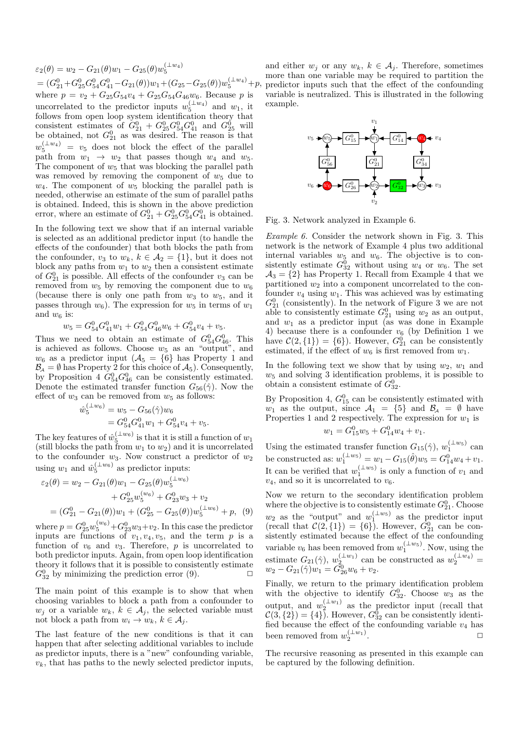$\varepsilon_2(\theta) = w_2 - G_{21}(\theta)w_1 - G_{25}(\theta)w_5^{(\perp w_4)}$  $=(G_{21}^0+G_{25}^0G_{54}^0G_{41}^0-G_{21}(\theta))w_1+(G_{25}-G_{25}(\theta))w_5^{(\perp w_4)}+p,$ where  $p = v_2 + G_{25}G_{54}v_4 + G_{25}G_{54}G_{46}w_6$ . Because p is uncorrelated to the predictor inputs  $w_5^{(\perp w_4)}$  and  $w_1$ , it follows from open loop system identification theory that consistent estimates of  $G_{21}^0 + G_{25}^0 G_{54}^0 G_{41}^0$  and  $G_{25}^0$  will be obtained, not  $G_{21}^0$  as was desired. The reason is that  $w_5^{(\perp w_4)} = v_5$  does not block the effect of the parallel path from  $w_1 \rightarrow w_2$  that passes though  $w_4$  and  $w_5$ . The component of  $w_5$  that was blocking the parallel path was removed by removing the component of  $w_5$  due to  $w_4$ . The component of  $w_5$  blocking the parallel path is needed, otherwise an estimate of the sum of parallel paths is obtained. Indeed, this is shown in the above prediction error, where an estimate of  $G_{21}^0 + G_{25}^0 G_{54}^0 G_{41}^0$  is obtained.

In the following text we show that if an internal variable is selected as an additional predictor input (to handle the effects of the confounder) that both blocks the path from the confounder,  $v_3$  to  $w_k$ ,  $k \in \mathcal{A}_2 = \{1\}$ , but it does not block any paths from  $w_1$  to  $w_2$  then a consistent estimate of  $G_{21}^0$  is possible. All effects of the confounder  $v_3$  can be removed from  $w_5$  by removing the component due to  $w_6$ (because there is only one path from  $w_3$  to  $w_5$ , and it passes through  $w_6$ ). The expression for  $w_5$  in terms of  $w_1$ and  $w_6$  is:

$$
w_5 = G_{54}^0 G_{41}^0 w_1 + G_{54}^0 G_{46}^0 w_6 + G_{54}^0 v_4 + v_5.
$$

Thus we need to obtain an estimate of  $G_{54}^0 G_{46}^0$ . This is achieved as follows. Choose  $w_5$  as an "output", and  $w_6$  as a predictor input  $(\mathcal{A}_5 = \{6\})$  has Property 1 and  $\mathcal{B}_A = \emptyset$  has Property 2 for this choice of  $\mathcal{A}_5$ . Consequently, by Proposition 4  $G_{54}^0 G_{46}^0$  can be consistently estimated. Denote the estimated transfer function  $G_{56}(\hat{\gamma})$ . Now the effect of  $w_3$  can be removed from  $w_5$  as follows:

$$
\hat{w}_5^{(\perp w_6)} = w_5 - G_{56}(\hat{\gamma})w_6
$$
  
=  $G_{54}^0 G_{41}^0 w_1 + G_{54}^0 v_4 + v_5.$ 

The key features of  $\hat{w}_5^{(\perp w_6)}$  is that it is still a function of  $w_1$ (still blocks the path from  $w_1$  to  $w_2$ ) and it is uncorrelated to the confounder  $w_3$ . Now construct a predictor of  $w_2$ using  $w_1$  and  $\hat{w}_5^{(\perp w_6)}$  as predictor inputs:

$$
\varepsilon_2(\theta) = w_2 - G_{21}(\theta)w_1 - G_{25}(\theta)w_5^{(\perp w_6)} + G_{25}^0 w_5^{(w_6)} + G_{23}^0 w_3 + v_2 = (G_{21}^0 - G_{21}(\theta))w_1 + (G_{25}^0 - G_{25}(\theta))w_5^{(\perp w_6)} + p, (9)
$$

where  $p = G_{25}^{0}w_5^{(w_6)} + G_{23}^{0}w_3 + v_2$ . In this case the predictor inputs are functions of  $v_1, v_4, v_5$ , and the term  $p$  is a function of  $v_6$  and  $v_3$ . Therefore, p is uncorrelated to both predictor inputs. Again, from open loop identification theory it follows that it is possible to consistently estimate  $G_{32}^0$  by minimizing the prediction error (9).

The main point of this example is to show that when choosing variables to block a path from a confounder to  $w_j$  or a variable  $w_k, k \in \mathcal{A}_j$ , the selected variable must not block a path from  $w_i \to w_k$ ,  $k \in \mathcal{A}_j$ .

The last feature of the new conditions is that it can happen that after selecting additional variables to include as predictor inputs, there is a "new" confounding variable,  $v_k$ , that has paths to the newly selected predictor inputs, and either  $w_j$  or any  $w_k$ ,  $k \in A_j$ . Therefore, sometimes more than one variable may be required to partition the predictor inputs such that the effect of the confounding variable is neutralized. This is illustrated in the following example.



Fig. 3. Network analyzed in Example 6.

Example 6. Consider the network shown in Fig. 3. This network is the network of Example 4 plus two additional internal variables  $w_5$  and  $w_6$ . The objective is to consistently estimate  $G_{32}^0$  without using  $w_4$  or  $w_6$ . The set  $A_3 = \{2\}$  has Property 1. Recall from Example 4 that we partitioned  $w_2$  into a component uncorrelated to the confounder  $v_4$  using  $w_1$ . This was achieved was by estimating  $G_{21}^0$  (consistently). In the network of Figure 3 we are not able to consistently estimate  $G_{21}^0$  using  $w_2$  as an output, and  $w_1$  as a predictor input (as was done in Example 4) because there is a confounder  $v_6$  (by Definition 1 we have  $C(2, \{1\}) = \{6\}$ . However,  $G_{21}^0$  can be consistently estimated, if the effect of  $w_6$  is first removed from  $w_1$ .

In the following text we show that by using  $w_2$ ,  $w_1$  and  $w_5$  and solving 3 identification problems, it is possible to obtain a consistent estimate of  $G_{32}^0$ .

By Proposition 4,  $G_{15}^0$  can be consistently estimated with  $w_1$  as the output, since  $\mathcal{A}_1 = \{5\}$  and  $\mathcal{B}_4 = \emptyset$  have Properties 1 and 2 respectively. The expression for  $w_1$  is  $w_1 = G_{15}^0 w_5 + G_{14}^0 w_4 + v_1.$ 

Using the estimated transfer function  $G_{15}(\hat{\gamma}), w_1^{(\perp w_5)}$  can be constructed as:  $w_1^{(\perp w_5)} = w_1 - G_{15}(\hat{\theta})w_5 = G_{14}^0 w_4 + v_1.$ It can be verified that  $w_1^{(\perp w_5)}$  is only a function of  $v_1$  and  $v_4$ , and so it is uncorrelated to  $v_6$ .

Now we return to the secondary identification problem where the objective is to consistently estimate  $G_{21}^0$ . Choose  $w_2$  as the "output" and  $w_1^{(\perp w_5)}$  as the predictor input (recall that  $\mathcal{C}(2,\{1\}) = \{6\}$ ). However,  $G_{21}^0$  can be consistently estimated because the effect of the confounding variable  $v_6$  has been removed from  $w_1^{(\perp w_5)}$ . Now, using the estimate  $G_{21}(\hat{\gamma}), w_{2}^{(\perp w_{1})}$  can be constructed as  $w_{2}^{(\perp w_{4})}$  =  $w_2 - G_{21}(\hat{\gamma})w_1 = \tilde{G}_{26}^0 w_6 + v_2.$ 

Finally, we return to the primary identification problem with the objective to identify  $G_{32}^0$ . Choose  $w_3$  as the output, and  $w_2^{(\perp w_1)}$  as the predictor input (recall that  $\mathcal{C}(3, \{2\}) = \{4\}$ . However,  $G_{32}^0$  can be consistently identified because the effect of the confounding variable  $v_4$  has been removed from  $w_2^{(\perp w_1)}$ . ✷

The recursive reasoning as presented in this example can be captured by the following definition.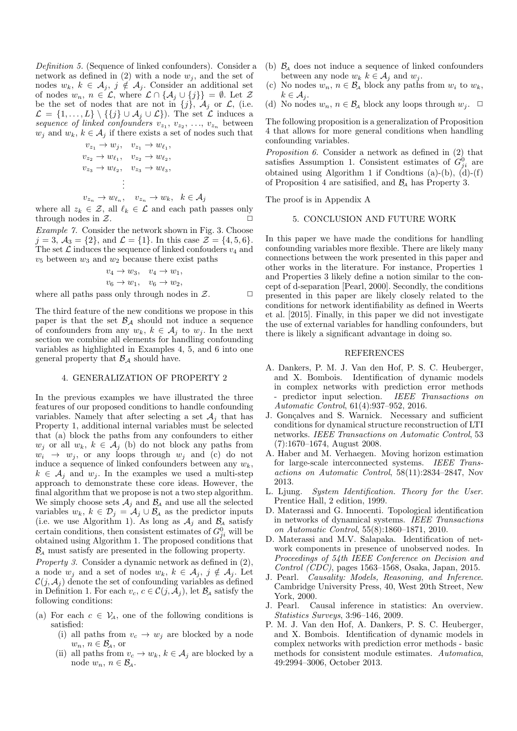Definition 5. (Sequence of linked confounders). Consider a network as defined in (2) with a node  $w_i$ , and the set of nodes  $w_k, k \in \mathcal{A}_j, j \notin \mathcal{A}_j$ . Consider an additional set of nodes  $w_n, n \in \mathcal{L}$ , where  $\mathcal{L} \cap {\mathcal{A}_j \cup \{j\}} = \emptyset$ . Let  $\mathcal{Z}$ be the set of nodes that are not in  $\{j\}$ ,  $\mathcal{A}_j$  or  $\mathcal{L}$ , (i.e.  $\mathcal{L} = \{1, \ldots, L\} \setminus \{\{j\} \cup \mathcal{A}_j \cup \mathcal{L}\}\)$ . The set  $\mathcal{L}$  induces a sequence of linked confounders  $v_{z_1}, v_{z_2}, \ldots, v_{z_n}$  between  $w_j$  and  $w_k$ ,  $k \in A_j$  if there exists a set of nodes such that

$$
v_{z_1} \rightarrow w_j, \quad v_{z_1} \rightarrow w_{\ell_1},
$$
  
\n
$$
v_{z_2} \rightarrow w_{\ell_1}, \quad v_{z_2} \rightarrow w_{\ell_2},
$$
  
\n
$$
v_{z_3} \rightarrow w_{\ell_2}, \quad v_{z_3} \rightarrow w_{\ell_3},
$$
  
\n
$$
\vdots
$$

$$
v_{z_n} \to w_{\ell_n}, \quad v_{z_n} \to w_k, \quad k \in \mathcal{A}_j
$$

where all  $z_k \in \mathcal{Z}$ , all  $\ell_k \in \mathcal{L}$  and each path passes only through nodes in  $\mathcal{Z}$ .

Example 7. Consider the network shown in Fig. 3. Choose  $j = 3, \mathcal{A}_3 = \{2\}, \text{ and } \mathcal{L} = \{1\}.$  In this case  $\mathcal{Z} = \{4, 5, 6\}.$ The set  $\mathcal L$  induces the sequence of linked confouders  $v_4$  and  $v_5$  between  $w_3$  and  $w_2$  because there exist paths

$$
v_4 \rightarrow w_3, \quad v_4 \rightarrow w_1,
$$
  
\n
$$
v_6 \rightarrow w_1, \quad v_6 \rightarrow w_2,
$$
  
\nass only through nodes in 2

where all paths pass only through nodes in  $\mathcal{Z}$ .  $\Box$ 

The third feature of the new conditions we propose in this paper is that the set  $\mathcal{B}_A$  should not induce a sequence of confounders from any  $w_k$ ,  $k \in \mathcal{A}_j$  to  $w_j$ . In the next section we combine all elements for handling confounding variables as highlighted in Examples 4, 5, and 6 into one general property that  $\mathcal{B}_A$  should have.

# 4. GENERALIZATION OF PROPERTY 2

In the previous examples we have illustrated the three features of our proposed conditions to handle confounding variables. Namely that after selecting a set  $A_i$  that has Property 1, additional internal variables must be selected that (a) block the paths from any confounders to either  $w_i$  or all  $w_k$ ,  $k \in \mathcal{A}_i$  (b) do not block any paths from  $w_i \rightarrow w_j$ , or any loops through  $w_j$  and (c) do not induce a sequence of linked confounders between any  $w_k$ ,  $k \in \mathcal{A}_i$  and  $w_i$ . In the examples we used a multi-step approach to demonstrate these core ideas. However, the final algorithm that we propose is not a two step algorithm. We simply choose sets  $A_j$  and  $B_A$  and use all the selected variables  $w_k, k \in \mathcal{D}_j = \mathcal{A}_j \cup \mathcal{B}_j$  as the predictor inputs (i.e. we use Algorithm 1). As long as  $\mathcal{A}_j$  and  $\mathcal{B}_\mathcal{A}$  satisfy certain conditions, then consistent estimates of  $G_{ji}^0$  will be obtained using Algorithm 1. The proposed conditions that  $\mathcal{B}_4$  must satisfy are presented in the following property.

Property 3. Consider a dynamic network as defined in (2), a node  $w_i$  and a set of nodes  $w_k$ ,  $k \in \mathcal{A}_i$ ,  $j \notin \mathcal{A}_i$ . Let  $\mathcal{C}(j, \mathcal{A}_j)$  denote the set of confounding variables as defined in Definition 1. For each  $v_c$ ,  $c \in \mathcal{C}(j, \mathcal{A}_i)$ , let  $\mathcal{B}_A$  satisfy the following conditions:

- (a) For each  $c \in V_A$ , one of the following conditions is satisfied:
	- (i) all paths from  $v_c \rightarrow w_j$  are blocked by a node  $w_n, n \in \mathcal{B}_A$ , or
	- (ii) all paths from  $v_c \to w_k$ ,  $k \in \mathcal{A}_i$  are blocked by a node  $w_n$ ,  $n \in \mathcal{B}_A$ .
- (b)  $\mathcal{B}_{\mathcal{A}}$  does not induce a sequence of linked confounders between any node  $w_k$   $k \in A_j$  and  $w_j$ .
- (c) No nodes  $w_n$ ,  $n \in \mathcal{B}_\lambda$  block any paths from  $w_i$  to  $w_k$ ,  $k \in \mathcal{A}_i$ .
- (d) No nodes  $w_n$ ,  $n \in \mathcal{B}_\mathcal{A}$  block any loops through  $w_j$ .  $\Box$

The following proposition is a generalization of Proposition 4 that allows for more general conditions when handling confounding variables.

Proposition 6. Consider a network as defined in (2) that satisfies Assumption 1. Consistent estimates of  $G_{ji}^0$  are obtained using Algorithm 1 if Condtions  $(a)-(b)$ ,  $(d)-(f)$ of Proposition 4 are satisfied, and  $\mathcal{B}_{\mathcal{A}}$  has Property 3.

The proof is in Appendix A

## 5. CONCLUSION AND FUTURE WORK

In this paper we have made the conditions for handling confounding variables more flexible. There are likely many connections between the work presented in this paper and other works in the literature. For instance, Properties 1 and Properties 3 likely define a notion similar to the concept of d-separation [Pearl, 2000]. Secondly, the conditions presented in this paper are likely closely related to the conditions for network identifiability as defined in Weerts et al. [2015]. Finally, in this paper we did not investigate the use of external variables for handling confounders, but there is likely a significant advantage in doing so.

#### REFERENCES

- A. Dankers, P. M. J. Van den Hof, P. S. C. Heuberger, and X. Bombois. Identification of dynamic models in complex networks with prediction error methods predictor input selection. IEEE Transactions on Automatic Control, 61(4):937–952, 2016.
- J. Gonçalves and S. Warnick. Necessary and sufficient conditions for dynamical structure reconstruction of LTI networks. IEEE Transactions on Automatic Control, 53 (7):1670–1674, August 2008.
- A. Haber and M. Verhaegen. Moving horizon estimation for large-scale interconnected systems. IEEE Transactions on Automatic Control, 58(11):2834–2847, Nov 2013.
- L. Ljung. System Identification. Theory for the User. Prentice Hall, 2 edition, 1999.
- D. Materassi and G. Innocenti. Topological identification in networks of dynamical systems. IEEE Transactions on Automatic Control, 55(8):1860–1871, 2010.
- D. Materassi and M.V. Salapaka. Identification of network components in presence of unobserved nodes. In Proceedings of 54th IEEE Conference on Decision and Control (CDC), pages 1563–1568, Osaka, Japan, 2015.
- J. Pearl. Causality: Models, Reasoning, and Inference. Cambridge University Press, 40, West 20th Street, New York, 2000.
- J. Pearl. Causal inference in statistics: An overview. Statistics Surveys, 3:96–146, 2009.
- P. M. J. Van den Hof, A. Dankers, P. S. C. Heuberger, and X. Bombois. Identification of dynamic models in complex networks with prediction error methods - basic methods for consistent module estimates. Automatica, 49:2994–3006, October 2013.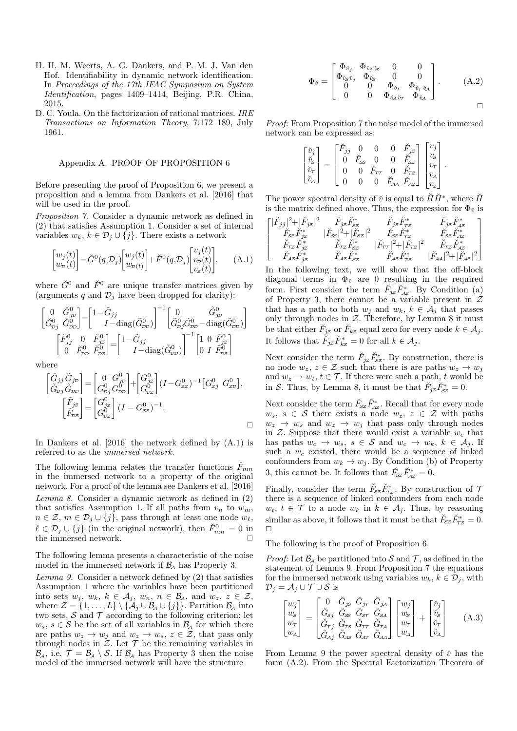- H. H. M. Weerts, A. G. Dankers, and P. M. J. Van den Hof. Identifiability in dynamic network identification. In Proceedings of the 17th IFAC Symposium on System Identification, pages 1409–1414, Beijing, P.R. China, 2015.
- D. C. Youla. On the factorization of rational matrices. IRE Transactions on Information Theory, 7:172–189, July 1961.

#### Appendix A. PROOF OF PROPOSITION 6

Before presenting the proof of Proposition 6, we present a proposition and a lemma from Dankers et al. [2016] that will be used in the proof.

Proposition 7. Consider a dynamic network as defined in (2) that satisfies Assumption 1. Consider a set of internal variables  $w_k, k \in \mathcal{D}_j \cup \{j\}$ . There exists a network

$$
\begin{bmatrix} w_j(t) \\ w_p(t) \end{bmatrix} = \check{G}^0(q, \mathcal{D}_j) \begin{bmatrix} w_j(t) \\ w_{p(t)} \end{bmatrix} + \check{F}^0(q, \mathcal{D}_j) \begin{bmatrix} v_j(t) \\ v_p(t) \\ v_z(t) \end{bmatrix} . \tag{A.1}
$$

where  $\check{G}^0$  and  $\check{F}^0$  are unique transfer matrices given by (arguments q and  $\mathcal{D}_i$  have been dropped for clarity):

$$
\begin{bmatrix} 0 & \check{G}_{jp}^{0} \\ \check{G}_{pj}^{0} & \check{G}_{pp}^{0} \end{bmatrix} = \begin{bmatrix} 1 - \tilde{G}_{jj} & 0 & \tilde{G}_{jp}^{0} \\ I - \text{diag}(\tilde{G}_{pp}^{0}) \end{bmatrix}^{-1} \begin{bmatrix} 0 & \tilde{G}_{jp}^{0} \\ \tilde{G}_{pj}^{0} \tilde{G}_{pp}^{0} - \text{diag}(\tilde{G}_{pp}^{0}) \end{bmatrix}
$$

$$
\begin{bmatrix} \breve{F}_{jj}^{0} & 0 & \breve{F}_{jz}^{0} \\ 0 & \breve{F}_{pp}^{0} & \breve{F}_{pz}^{0} \end{bmatrix} = \begin{bmatrix} 1 - \tilde{G}_{jj} & 0 & 0 \\ I - \text{diag}(\tilde{G}_{pp}^{0}) & 0 & I \end{bmatrix}^{-1} \begin{bmatrix} 1 & 0 & \tilde{F}_{jz}^{0} \\ 0 & I & \tilde{F}_{pz}^{0} \end{bmatrix}
$$

$$
\text{where}
$$

where

$$
\begin{bmatrix}\n\tilde{G}_{jj}\tilde{G}_{jD} \\
\tilde{G}_{pj}\tilde{G}_{jD} \\
\tilde{G}_{pj} \\
\tilde{F}_{pZ}\n\end{bmatrix} =\n\begin{bmatrix}\n0 & G_{jD}^0 \\
G_{pj}^0 G_{jD}^0\n\end{bmatrix} +\n\begin{bmatrix}\nG_{jZ}^0 \\
G_{pZ}^0\n\end{bmatrix}\n(I - G_{zz}^0)^{-1}\n\begin{bmatrix}\nG_{j2}^0 \\
G_{pZ}^0\n\end{bmatrix},
$$
\n
$$
\begin{bmatrix}\n\tilde{F}_{jz} \\
\tilde{F}_{pZ}\n\end{bmatrix} =\n\begin{bmatrix}\nG_{j2}^0 \\
G_{pZ}^0\n\end{bmatrix}\n(I - G_{zz}^0)^{-1}.
$$

In Dankers et al. [2016] the network defined by (A.1) is referred to as the immersed network.

The following lemma relates the transfer functions  $\tilde{F}_{mn}$ in the immersed network to a property of the original network. For a proof of the lemma see Dankers et al. [2016] Lemma 8. Consider a dynamic network as defined in (2) that satisfies Assumption 1. If all paths from  $v_n$  to  $w_m$ ,  $n \in \mathcal{Z}, m \in \mathcal{D}_i \cup \{j\},$  pass through at least one node  $w_\ell$ ,  $\ell \in \mathcal{D}_j \cup \{j\}$  (in the original network), then  $\check{F}^0_{mn} = 0$  in the immersed network.

The following lemma presents a characteristic of the noise model in the immersed network if  $\mathcal{B}_{A}$  has Property 3.

Lemma 9. Consider a network defined by (2) that satisfies Assumption 1 where the variables have been partitioned into sets  $w_j, w_k, k \in \mathcal{A}_j, w_n, n \in \mathcal{B}_A$ , and  $w_z, z \in \mathcal{Z}$ , where  $\mathcal{Z} = \{1, \ldots, L\} \setminus \{\mathcal{A}_j \cup \mathcal{B}_A \cup \{j\}\}\$ . Partition  $\mathcal{B}_A$  into two sets,  $S$  and  $T$  according to the following criterion: let  $w_s, s \in \mathcal{S}$  be the set of all variables in  $\mathcal{B}_\mathcal{A}$  for which there are paths  $w_z \to w_j$  and  $w_z \to w_s$ ,  $z \in \mathcal{Z}$ , that pass only through nodes in  $\mathcal{Z}$ . Let  $\mathcal T$  be the remaining variables in  $\mathcal{B}_{\mathcal{A}}$ , i.e.  $\mathcal{T} = \mathcal{B}_{\mathcal{A}} \setminus \mathcal{S}$ . If  $\mathcal{B}_{\mathcal{A}}$  has Property 3 then the noise model of the immersed network will have the structure

$$
\Phi_{\check{v}} = \begin{bmatrix}\n\Phi_{\check{v}_j} & \Phi_{\check{v}_j\check{v}_S} & 0 & 0 \\
\Phi_{\check{v}_S\check{v}_j} & \Phi_{\check{v}_S} & 0 & 0 \\
0 & 0 & \Phi_{\check{v}_T} & \Phi_{\check{v}_T\check{v}_A} \\
0 & 0 & \Phi_{\check{v}_A\check{v}_T} & \Phi_{\check{v}_A}\n\end{bmatrix} .
$$
\n(A.2)

Proof: From Proposition 7 the noise model of the immersed network can be expressed as:

$$
\begin{bmatrix} \check{v}_j \\ \check{v}_s \\ \check{v}_r \\ \check{v}_\mathcal{A} \end{bmatrix} = \begin{bmatrix} \check{F}_{jj} & 0 & 0 & 0 & \check{F}_{jz} \\ 0 & \check{F}_{\infty} & 0 & 0 & \check{F}_{\infty} \\ 0 & 0 & \check{F}_{\tau\tau} & 0 & \check{F}_{\tau z} \\ 0 & 0 & 0 & \check{F}_{\mathcal{A}\mathcal{A}} & \check{F}_{\mathcal{A}z} \end{bmatrix} \begin{bmatrix} v_j \\ v_s \\ v_r \\ v_\mathcal{A} \\ v_z \end{bmatrix}.
$$

The power spectral density of  $\check{v}$  is equal to  $\check{H}\check{H}^*$ , where  $\check{H}$ is the matrix defined above. Thus, the expression for  $\Phi_{\check{v}}$  is

$$
\begin{bmatrix} |\breve{F}_{jj}|^2+|\breve{F}_{jz}|^2 & \breve{F}_{jz}\breve{F}_{\mathcal{S}\mathcal{Z}}^* & \breve{F}_{jz}\breve{F}_{\mathcal{S}\mathcal{Z}}^* & \breve{F}_{jz}\breve{F}_{\mathcal{A}\mathcal{Z}}^* \\ \breve{F}_{Sz}\breve{F}_{jz}^* & |\breve{F}_{\mathcal{S}\mathcal{S}}|^2+|\breve{F}_{\mathcal{S}\mathcal{Z}}|^2 & \breve{F}_{Sz}\breve{F}_{\mathcal{T}\mathcal{Z}}^* & \breve{F}_{Sz}\breve{F}_{\mathcal{A}\mathcal{Z}}^* \\ \breve{F}_{\mathcal{T}\mathcal{Z}}\breve{F}_{jz}^* & \breve{F}_{\mathcal{T}\mathcal{Z}}\breve{F}_{\mathcal{S}\mathcal{Z}}^* & |\breve{F}_{\mathcal{TT}}|^2+|\breve{F}_{\mathcal{T}\mathcal{Z}}|^2 & \breve{F}_{\mathcal{T}\mathcal{Z}}\breve{F}_{\mathcal{A}\mathcal{Z}}^* \\ \breve{F}_{\mathcal{A}\mathcal{Z}}\breve{F}_{jz}^* & \breve{F}_{\mathcal{A}\mathcal{Z}}\breve{F}_{\mathcal{S}\mathcal{Z}}^* & \breve{F}_{\mathcal{A}\mathcal{Z}}\breve{F}_{\mathcal{T}\mathcal{Z}}^* & |\breve{F}_{\mathcal{A}\mathcal{A}}|^2+|\breve{F}_{\mathcal{A}\mathcal{Z}}|^2 \end{bmatrix}
$$

In the following text, we will show that the off-block diagonal terms in  $\Phi_{\check{v}}$  are 0 resulting in the required form. First consider the term  $\check{F}_{jz}\check{F}_{\mathcal{A}\mathcal{Z}}^*$ . By Condition (a) of Property 3, there cannot be a variable present in  $\mathcal{Z}$ that has a path to both  $w_i$  and  $w_k$ ,  $k \in A_i$  that passes only through nodes in  $Z$ . Therefore, by Lemma 8 it must be that either  $\check{F}_{jz}$  or  $\check{F}_{kz}$  equal zero for every node  $k \in \mathcal{A}_j$ . It follows that  $\check{F}_{jz}\check{F}_{kz}^* = 0$  for all  $k \in \mathcal{A}_j$ .

Next consider the term  $\check{F}_{jz}\check{F}_{sz}^*$ . By construction, there is no node  $w_z, z \in \mathcal{Z}$  such that there is are paths  $w_z \to w_j$ and  $w_z \rightarrow w_t$ ,  $t \in \mathcal{T}$ . If there were such a path, t would be in S. Thus, by Lemma 8, it must be that  $\tilde{F}_{jz}\tilde{F}_{sz}^* = 0$ .

Next consider the term  $\check{F}_{\mathcal{S}\mathcal{Z}}\check{F}_{\mathcal{A}\mathcal{Z}}^{*}$ . Recall that for every node  $w_s, s \in \mathcal{S}$  there exists a node  $w_z, z \in \mathcal{Z}$  with paths  $w_z \rightarrow w_s$  and  $w_z \rightarrow w_i$  that pass only through nodes in  $Z$ . Suppose that there would exist a variable  $w_c$  that has paths  $w_c \to w_s$ ,  $s \in S$  and  $w_c \to w_k$ ,  $k \in A_j$ . If such a  $w_c$  existed, there would be a sequence of linked confounders from  $w_k \to w_j$ . By Condition (b) of Property 3, this cannot be. It follows that  $\check{F}_{\mathcal{S}\mathcal{Z}}\check{F}_{\mathcal{A}\mathcal{Z}}^* = 0$ .

Finally, consider the term  $\check{F}_{sz}\check{F}_{\tau z}^*$ . By construction of 7 there is a sequence of linked confounders from each node  $w_t, t \in \mathcal{T}$  to a node  $w_k$  in  $k \in \mathcal{A}_j$ . Thus, by reasoning similar as above, it follows that it must be that  $\check{F}_{\mathcal{S}\mathcal{Z}}\check{F}_{\mathcal{TZ}}^{*}=0$ .  $\Box$ 

The following is the proof of Proposition 6.

*Proof:* Let  $\mathcal{B}_4$  be partitioned into S and T, as defined in the statement of Lemma 9. From Proposition 7 the equations for the immersed network using variables  $w_k, k \in \mathcal{D}_j$ , with  $\mathcal{D}_j = \mathcal{A}_j \cup \mathcal{T} \cup \mathcal{S}$  is

$$
\begin{bmatrix} w_j \\ w_s \\ w_\tau \\ w_\lambda \end{bmatrix} = \begin{bmatrix} 0 & \check{G}_{j\bar{s}} & \check{G}_{j\tau} & \check{G}_{j\bar{A}} \\ \check{G}_{sj} & \check{G}_{ss} & \check{G}_{s\tau} & \check{G}_{s\bar{A}} \\ \check{G}_{\tau j} & \check{G}_{\tau s} & \check{G}_{\tau\tau} & \check{G}_{\tau\bar{A}} \\ \check{G}_{\lambda j} & \check{G}_{\lambda s} & \check{G}_{\lambda\tau} & \check{G}_{\lambda\bar{A}} \end{bmatrix} \begin{bmatrix} w_j \\ w_s \\ w_\tau \\ w_\lambda \end{bmatrix} + \begin{bmatrix} \check{v}_j \\ \check{v}_s \\ \check{v}_\tau \\ \check{v}_\lambda \end{bmatrix} \tag{A.3}
$$

From Lemma 9 the power spectral density of  $\check{v}$  has the form (A.2). From the Spectral Factorization Theorem of